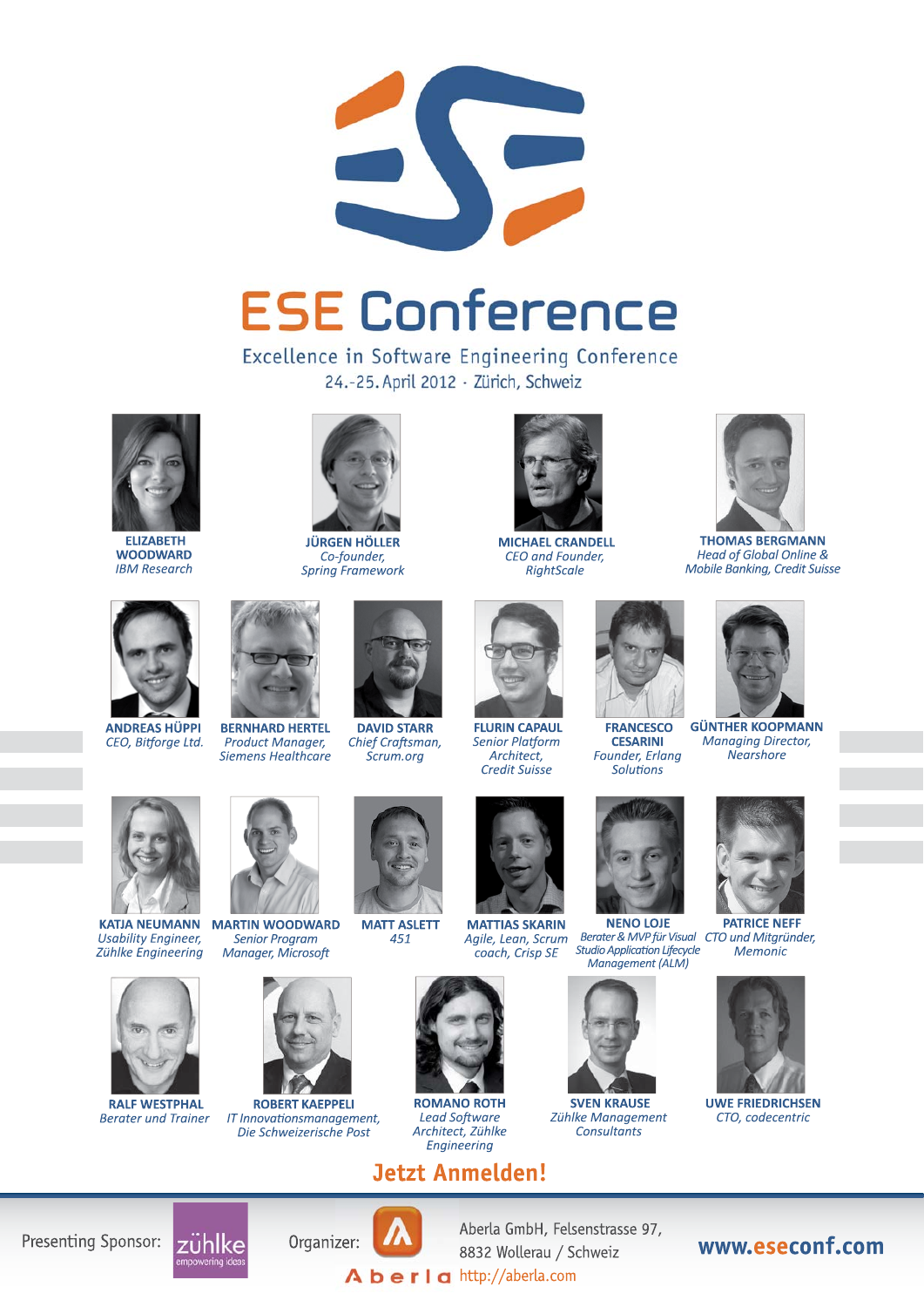

# **ESE Conference**

Excellence in Software Engineering Conference 24.-25. April 2012 · Zürich, Schweiz



**ELIZABETH WOODWARD IBM Research** 



**JÜRGEN HÖLLER** Co-founder, **Spring Framework** 



**MICHAEL CRANDELL** CEO and Founder, RightScale





**GÜNTHER KOOPMANN Managing Director,** Nearshore Founder, Erlang



**ANDREAS HÜPPI** CEO, Bitforge Ltd.



**BERNHARD HERTEL** Product Manager, **Siemens Healthcare** 



**DAVID STARR** Chief Craftsman. Scrum.org



**Senior Platform** Architect, **Credit Suisse** 



**FRANCESCO** 

**CESARINI** 

**Solutions** 

**NENO LOJE** Berater & MVP für Visual CTO und Mitgründer, **Studio Application Lifecycle** Management (ALM)



**SVEN KRAUSE** Zühlke Management **Consultants** 



**PATRICE NEFF** Memonic



CTO, codecentric



**KATJA NEUMANN** Usability Engineer, Zühlke Engineering



**RAIF WESTPHAL Berater und Trainer** 



**Senior Program Manager, Microsoft** 



**ROBERT KAEPPELI** IT Innovationsmanagement, Die Schweizerische Post



**ROMANO ROTH** 

**Lead Software** 

Architect, Zühlke

Engineering







**Jetzt Anmelden!** 











Aberla GmbH, Felsenstrasse 97, 8832 Wollerau / Schweiz  $\mathbf A$  **berla** http://aberla.com

www.eseconf.com